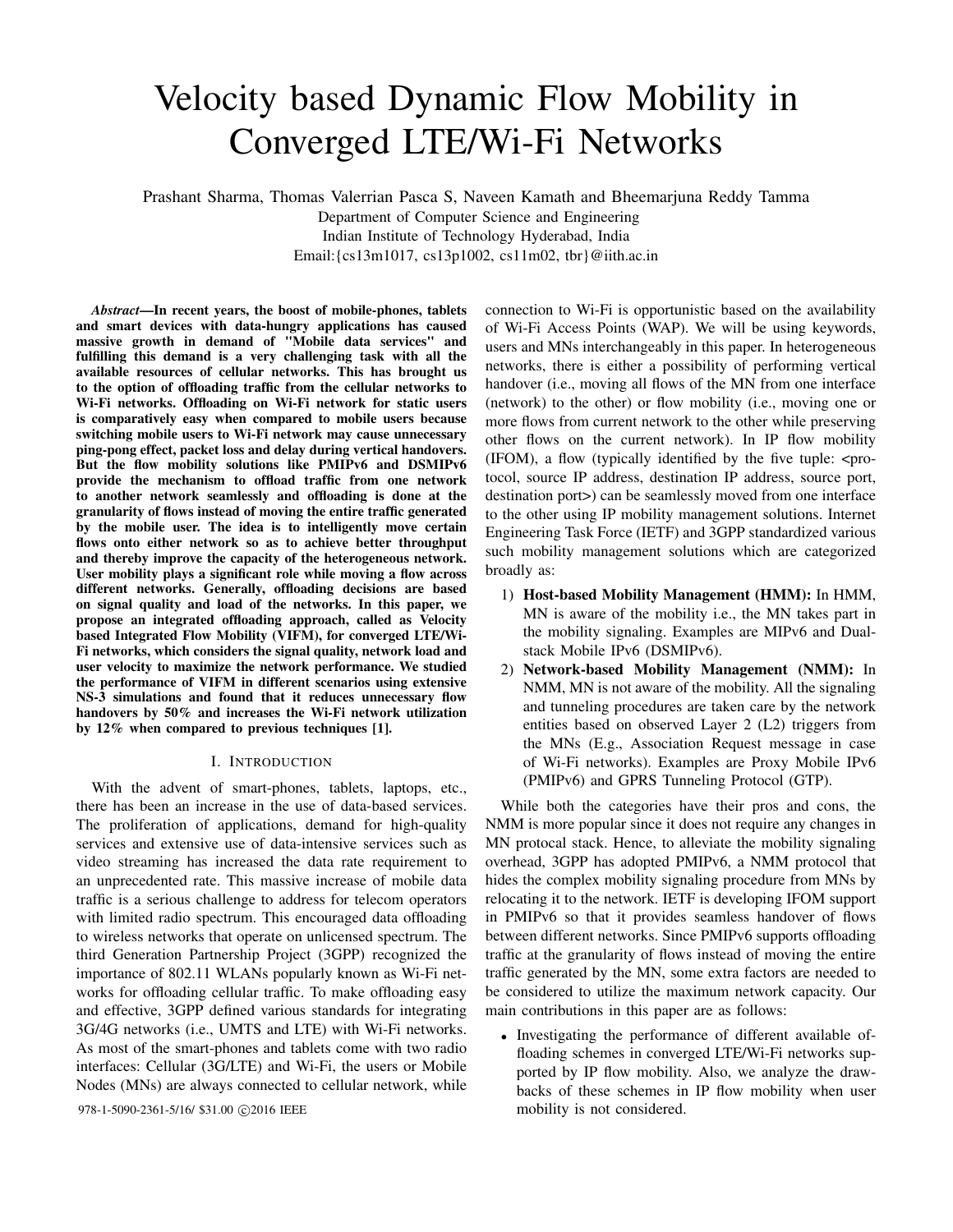# Velocity based Dynamic Flow Mobility in Converged LTE/Wi-Fi Networks

Prashant Sharma, Thomas Valerrian Pasca S, Naveen Kamath and Bheemarjuna Reddy Tamma Department of Computer Science and Engineering Indian Institute of Technology Hyderabad, India Email:{cs13m1017, cs13p1002, cs11m02, tbr}@iith.ac.in

*Abstract*—In recent years, the boost of mobile-phones, tablets and smart devices with data-hungry applications has caused massive growth in demand of "Mobile data services" and fulfilling this demand is a very challenging task with all the available resources of cellular networks. This has brought us to the option of offloading traffic from the cellular networks to Wi-Fi networks. Offloading on Wi-Fi network for static users is comparatively easy when compared to mobile users because switching mobile users to Wi-Fi network may cause unnecessary ping-pong effect, packet loss and delay during vertical handovers. But the flow mobility solutions like PMIPv6 and DSMIPv6 provide the mechanism to offload traffic from one network to another network seamlessly and offloading is done at the granularity of flows instead of moving the entire traffic generated by the mobile user. The idea is to intelligently move certain flows onto either network so as to achieve better throughput and thereby improve the capacity of the heterogeneous network. User mobility plays a significant role while moving a flow across different networks. Generally, offloading decisions are based on signal quality and load of the networks. In this paper, we propose an integrated offloading approach, called as Velocity based Integrated Flow Mobility (VIFM), for converged LTE/Wi-Fi networks, which considers the signal quality, network load and user velocity to maximize the network performance. We studied the performance of VIFM in different scenarios using extensive NS-3 simulations and found that it reduces unnecessary flow handovers by 50% and increases the Wi-Fi network utilization by 12% when compared to previous techniques [1].

#### I. INTRODUCTION

With the advent of smart-phones, tablets, laptops, etc., there has been an increase in the use of data-based services. The proliferation of applications, demand for high-quality services and extensive use of data-intensive services such as video streaming has increased the data rate requirement to an unprecedented rate. This massive increase of mobile data traffic is a serious challenge to address for telecom operators with limited radio spectrum. This encouraged data offloading to wireless networks that operate on unlicensed spectrum. The third Generation Partnership Project (3GPP) recognized the importance of 802.11 WLANs popularly known as Wi-Fi networks for offloading cellular traffic. To make offloading easy and effective, 3GPP defined various standards for integrating 3G/4G networks (i.e., UMTS and LTE) with Wi-Fi networks. As most of the smart-phones and tablets come with two radio interfaces: Cellular (3G/LTE) and Wi-Fi, the users or Mobile Nodes (MNs) are always connected to cellular network, while

978-1-5090-2361-5/16/ \$31.00  $\odot$  2016 IEEE mobility is not considered.

connection to Wi-Fi is opportunistic based on the availability of Wi-Fi Access Points (WAP). We will be using keywords, users and MNs interchangeably in this paper. In heterogeneous networks, there is either a possibility of performing vertical handover (i.e., moving all flows of the MN from one interface (network) to the other) or flow mobility (i.e., moving one or more flows from current network to the other while preserving other flows on the current network). In IP flow mobility (IFOM), a flow (typically identified by the five tuple:  $\langle$ protocol, source IP address, destination IP address, source port, destination port>) can be seamlessly moved from one interface to the other using IP mobility management solutions. Internet Engineering Task Force (IETF) and 3GPP standardized various such mobility management solutions which are categorized broadly as:

- 1) Host-based Mobility Management (HMM): In HMM, MN is aware of the mobility i.e., the MN takes part in the mobility signaling. Examples are MIPv6 and Dualstack Mobile IPv6 (DSMIPv6).
- 2) Network-based Mobility Management (NMM): In NMM, MN is not aware of the mobility. All the signaling and tunneling procedures are taken care by the network entities based on observed Layer 2 (L2) triggers from the MNs (E.g., Association Request message in case of Wi-Fi networks). Examples are Proxy Mobile IPv6 (PMIPv6) and GPRS Tunneling Protocol (GTP).

While both the categories have their pros and cons, the NMM is more popular since it does not require any changes in MN protocal stack. Hence, to alleviate the mobility signaling overhead, 3GPP has adopted PMIPv6, a NMM protocol that hides the complex mobility signaling procedure from MNs by relocating it to the network. IETF is developing IFOM support in PMIPv6 so that it provides seamless handover of flows between different networks. Since PMIPv6 supports offloading traffic at the granularity of flows instead of moving the entire traffic generated by the MN, some extra factors are needed to be considered to utilize the maximum network capacity. Our main contributions in this paper are as follows:

• Investigating the performance of different available offloading schemes in converged LTE/Wi-Fi networks supported by IP flow mobility. Also, we analyze the drawbacks of these schemes in IP flow mobility when user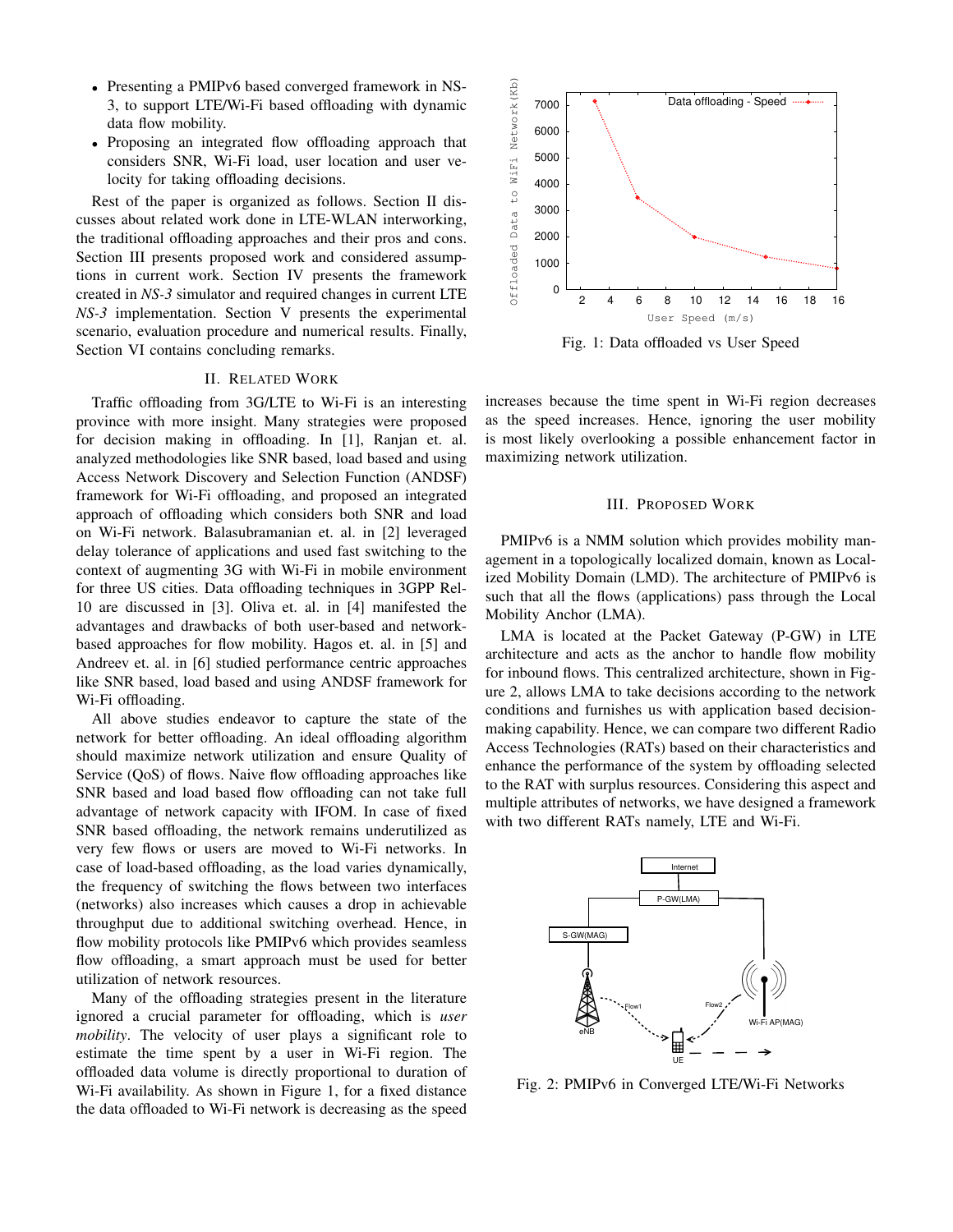- Presenting a PMIPv6 based converged framework in NS-3, to support LTE/Wi-Fi based offloading with dynamic data flow mobility.
- Proposing an integrated flow offloading approach that considers SNR, Wi-Fi load, user location and user velocity for taking offloading decisions.

Rest of the paper is organized as follows. Section II discusses about related work done in LTE-WLAN interworking, the traditional offloading approaches and their pros and cons. Section III presents proposed work and considered assumptions in current work. Section IV presents the framework created in *NS-3* simulator and required changes in current LTE *NS-3* implementation. Section V presents the experimental scenario, evaluation procedure and numerical results. Finally, Section VI contains concluding remarks.

#### II. RELATED WORK

Traffic offloading from 3G/LTE to Wi-Fi is an interesting province with more insight. Many strategies were proposed for decision making in offloading. In [1], Ranjan et. al. analyzed methodologies like SNR based, load based and using Access Network Discovery and Selection Function (ANDSF) framework for Wi-Fi offloading, and proposed an integrated approach of offloading which considers both SNR and load on Wi-Fi network. Balasubramanian et. al. in [2] leveraged delay tolerance of applications and used fast switching to the context of augmenting 3G with Wi-Fi in mobile environment for three US cities. Data offloading techniques in 3GPP Rel-10 are discussed in [3]. Oliva et. al. in [4] manifested the advantages and drawbacks of both user-based and networkbased approaches for flow mobility. Hagos et. al. in [5] and Andreev et. al. in [6] studied performance centric approaches like SNR based, load based and using ANDSF framework for Wi-Fi offloading.

All above studies endeavor to capture the state of the network for better offloading. An ideal offloading algorithm should maximize network utilization and ensure Quality of Service (QoS) of flows. Naive flow offloading approaches like SNR based and load based flow offloading can not take full advantage of network capacity with IFOM. In case of fixed SNR based offloading, the network remains underutilized as very few flows or users are moved to Wi-Fi networks. In case of load-based offloading, as the load varies dynamically, the frequency of switching the flows between two interfaces (networks) also increases which causes a drop in achievable throughput due to additional switching overhead. Hence, in flow mobility protocols like PMIPv6 which provides seamless flow offloading, a smart approach must be used for better utilization of network resources.

Many of the offloading strategies present in the literature ignored a crucial parameter for offloading, which is *user mobility*. The velocity of user plays a significant role to estimate the time spent by a user in Wi-Fi region. The offloaded data volume is directly proportional to duration of Wi-Fi availability. As shown in Figure 1, for a fixed distance the data offloaded to Wi-Fi network is decreasing as the speed



Fig. 1: Data offloaded vs User Speed

increases because the time spent in Wi-Fi region decreases as the speed increases. Hence, ignoring the user mobility is most likely overlooking a possible enhancement factor in maximizing network utilization.

#### III. PROPOSED WORK

PMIPv6 is a NMM solution which provides mobility management in a topologically localized domain, known as Localized Mobility Domain (LMD). The architecture of PMIPv6 is such that all the flows (applications) pass through the Local Mobility Anchor (LMA).

LMA is located at the Packet Gateway (P-GW) in LTE architecture and acts as the anchor to handle flow mobility for inbound flows. This centralized architecture, shown in Figure 2, allows LMA to take decisions according to the network conditions and furnishes us with application based decisionmaking capability. Hence, we can compare two different Radio Access Technologies (RATs) based on their characteristics and enhance the performance of the system by offloading selected to the RAT with surplus resources. Considering this aspect and multiple attributes of networks, we have designed a framework with two different RATs namely, LTE and Wi-Fi.



Fig. 2: PMIPv6 in Converged LTE/Wi-Fi Networks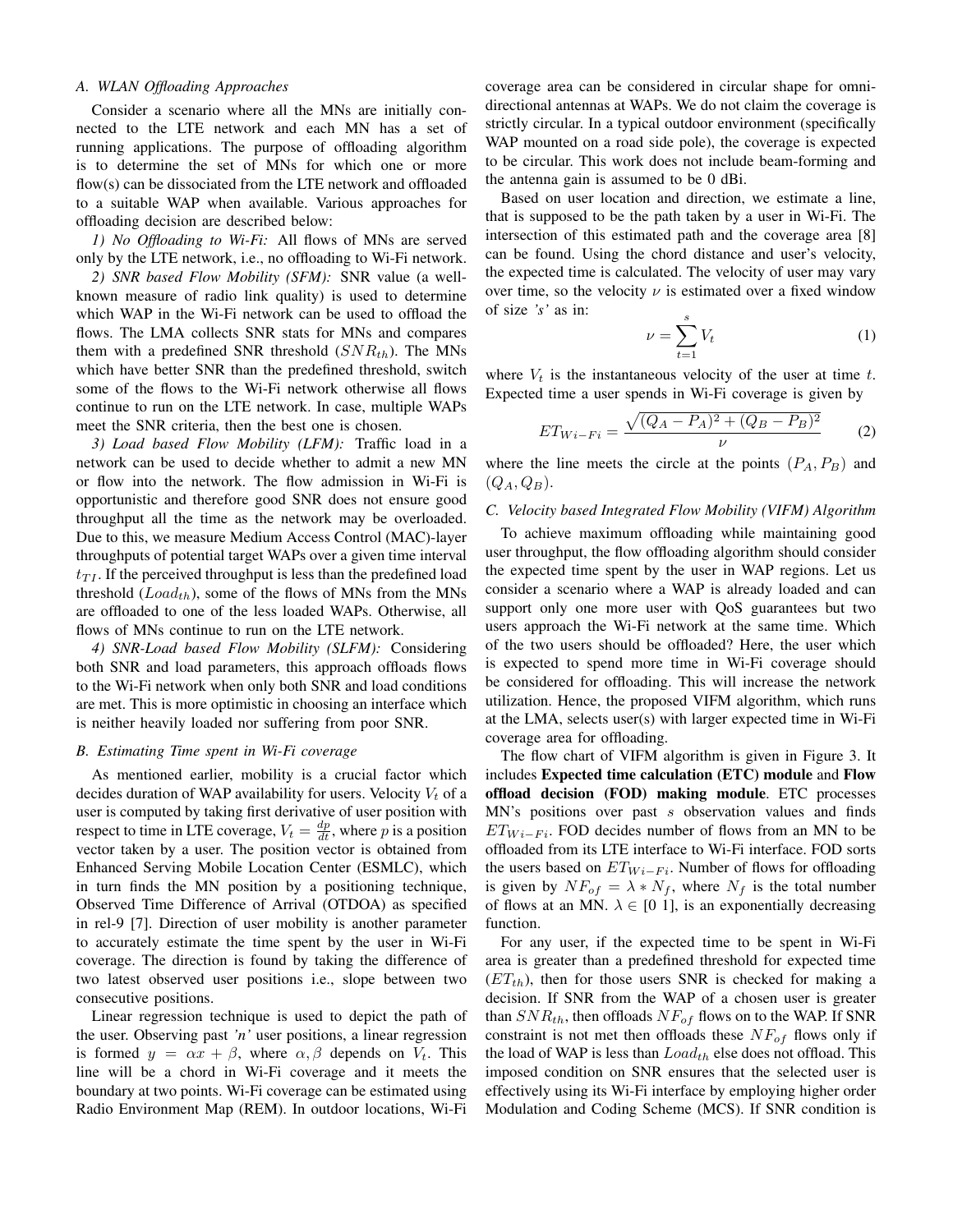#### *A. WLAN Offloading Approaches*

Consider a scenario where all the MNs are initially connected to the LTE network and each MN has a set of running applications. The purpose of offloading algorithm is to determine the set of MNs for which one or more flow(s) can be dissociated from the LTE network and offloaded to a suitable WAP when available. Various approaches for offloading decision are described below:

*1) No Offloading to Wi-Fi:* All flows of MNs are served only by the LTE network, i.e., no offloading to Wi-Fi network.

*2) SNR based Flow Mobility (SFM):* SNR value (a wellknown measure of radio link quality) is used to determine which WAP in the Wi-Fi network can be used to offload the flows. The LMA collects SNR stats for MNs and compares them with a predefined SNR threshold  $(SNR_{th})$ . The MNs which have better SNR than the predefined threshold, switch some of the flows to the Wi-Fi network otherwise all flows continue to run on the LTE network. In case, multiple WAPs meet the SNR criteria, then the best one is chosen.

*3) Load based Flow Mobility (LFM):* Traffic load in a network can be used to decide whether to admit a new MN or flow into the network. The flow admission in Wi-Fi is opportunistic and therefore good SNR does not ensure good throughput all the time as the network may be overloaded. Due to this, we measure Medium Access Control (MAC)-layer throughputs of potential target WAPs over a given time interval  $t_{TI}$ . If the perceived throughput is less than the predefined load threshold  $(Load<sub>th</sub>)$ , some of the flows of MNs from the MNs are offloaded to one of the less loaded WAPs. Otherwise, all flows of MNs continue to run on the LTE network.

*4) SNR-Load based Flow Mobility (SLFM):* Considering both SNR and load parameters, this approach offloads flows to the Wi-Fi network when only both SNR and load conditions are met. This is more optimistic in choosing an interface which is neither heavily loaded nor suffering from poor SNR.

#### *B. Estimating Time spent in Wi-Fi coverage*

As mentioned earlier, mobility is a crucial factor which decides duration of WAP availability for users. Velocity  $V_t$  of a user is computed by taking first derivative of user position with respect to time in LTE coverage,  $V_t = \frac{dp}{dt}$ , where p is a position vector taken by a user. The position vector is obtained from Enhanced Serving Mobile Location Center (ESMLC), which in turn finds the MN position by a positioning technique, Observed Time Difference of Arrival (OTDOA) as specified in rel-9 [7]. Direction of user mobility is another parameter to accurately estimate the time spent by the user in Wi-Fi coverage. The direction is found by taking the difference of two latest observed user positions i.e., slope between two consecutive positions.

Linear regression technique is used to depict the path of the user. Observing past *'n'* user positions, a linear regression is formed  $y = \alpha x + \beta$ , where  $\alpha, \beta$  depends on  $V_t$ . This line will be a chord in Wi-Fi coverage and it meets the boundary at two points. Wi-Fi coverage can be estimated using Radio Environment Map (REM). In outdoor locations, Wi-Fi coverage area can be considered in circular shape for omnidirectional antennas at WAPs. We do not claim the coverage is strictly circular. In a typical outdoor environment (specifically WAP mounted on a road side pole), the coverage is expected to be circular. This work does not include beam-forming and the antenna gain is assumed to be 0 dBi.

Based on user location and direction, we estimate a line, that is supposed to be the path taken by a user in Wi-Fi. The intersection of this estimated path and the coverage area [8] can be found. Using the chord distance and user's velocity, the expected time is calculated. The velocity of user may vary over time, so the velocity  $\nu$  is estimated over a fixed window of size *'s'* as in:

$$
\nu = \sum_{t=1}^{s} V_t \tag{1}
$$

where  $V_t$  is the instantaneous velocity of the user at time t. Expected time a user spends in Wi-Fi coverage is given by

$$
ET_{Wi-Fi} = \frac{\sqrt{(Q_A - P_A)^2 + (Q_B - P_B)^2}}{\nu}
$$
 (2)

where the line meets the circle at the points  $(P_A, P_B)$  and  $(Q_A, Q_B)$ .

## *C. Velocity based Integrated Flow Mobility (VIFM) Algorithm*

To achieve maximum offloading while maintaining good user throughput, the flow offloading algorithm should consider the expected time spent by the user in WAP regions. Let us consider a scenario where a WAP is already loaded and can support only one more user with QoS guarantees but two users approach the Wi-Fi network at the same time. Which of the two users should be offloaded? Here, the user which is expected to spend more time in Wi-Fi coverage should be considered for offloading. This will increase the network utilization. Hence, the proposed VIFM algorithm, which runs at the LMA, selects user(s) with larger expected time in Wi-Fi coverage area for offloading.

The flow chart of VIFM algorithm is given in Figure 3. It includes Expected time calculation (ETC) module and Flow offload decision (FOD) making module. ETC processes MN's positions over past s observation values and finds  $ET_{Wi-Fi}$ . FOD decides number of flows from an MN to be offloaded from its LTE interface to Wi-Fi interface. FOD sorts the users based on  $ET_{Wi-Fi}$ . Number of flows for offloading is given by  $NF_{of} = \lambda * N_f$ , where  $N_f$  is the total number of flows at an MN.  $\lambda \in [0, 1]$ , is an exponentially decreasing function.

For any user, if the expected time to be spent in Wi-Fi area is greater than a predefined threshold for expected time  $(ET<sub>th</sub>)$ , then for those users SNR is checked for making a decision. If SNR from the WAP of a chosen user is greater than  $SNR_{th}$ , then offloads  $NF_{of}$  flows on to the WAP. If SNR constraint is not met then offloads these  $NF_{of}$  flows only if the load of WAP is less than  $Load_{th}$  else does not offload. This imposed condition on SNR ensures that the selected user is effectively using its Wi-Fi interface by employing higher order Modulation and Coding Scheme (MCS). If SNR condition is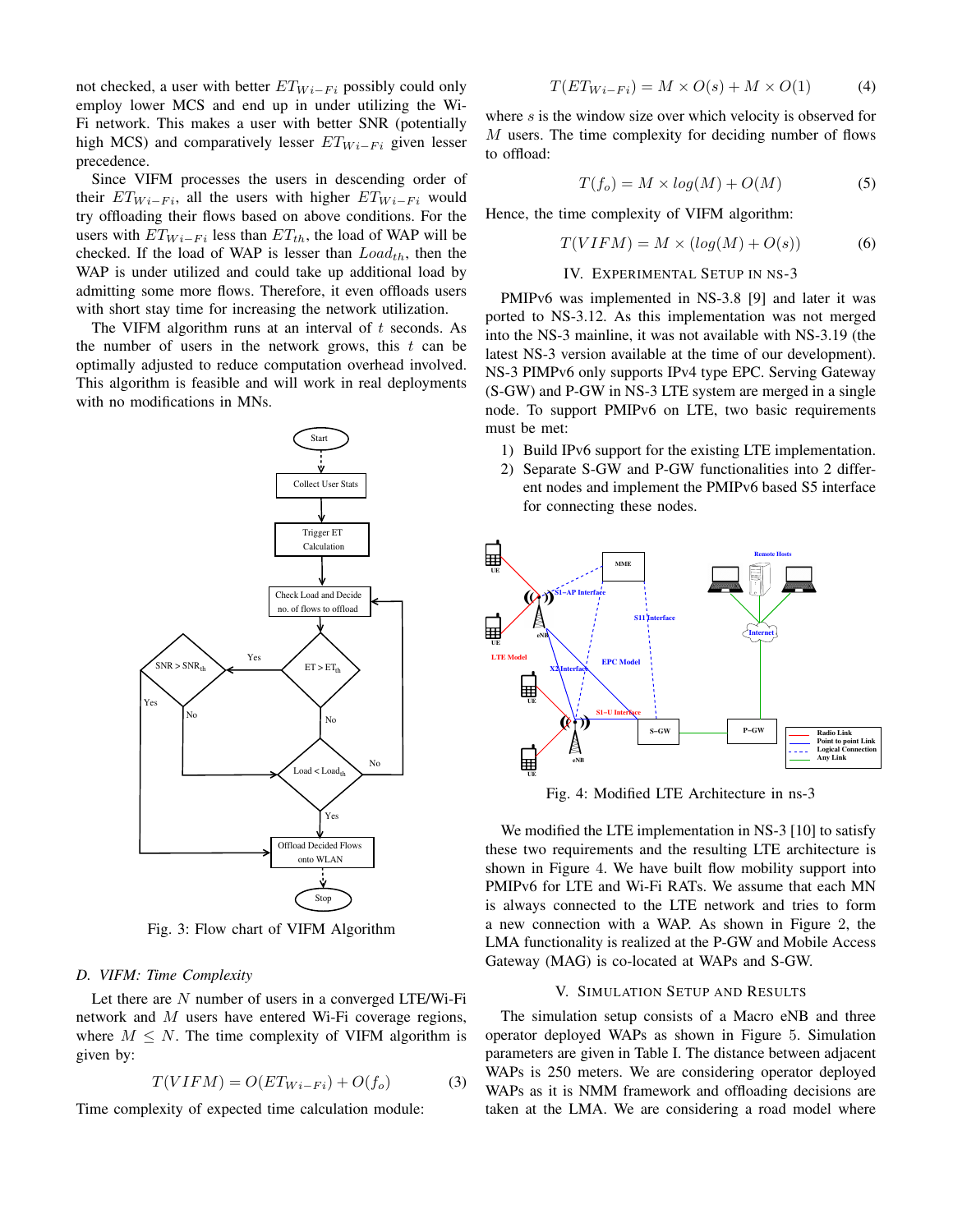not checked, a user with better  $ET_{Wi-Fi}$  possibly could only employ lower MCS and end up in under utilizing the Wi-Fi network. This makes a user with better SNR (potentially high MCS) and comparatively lesser  $ET_{Wi-Fi}$  given lesser precedence.

Since VIFM processes the users in descending order of their  $ET_{Wi-Fi}$ , all the users with higher  $ET_{Wi-Fi}$  would try offloading their flows based on above conditions. For the users with  $ET_{Wi-Fi}$  less than  $ET_{th}$ , the load of WAP will be checked. If the load of WAP is lesser than  $Load_{th}$ , then the WAP is under utilized and could take up additional load by admitting some more flows. Therefore, it even offloads users with short stay time for increasing the network utilization.

The VIFM algorithm runs at an interval of t seconds. As the number of users in the network grows, this  $t$  can be optimally adjusted to reduce computation overhead involved. This algorithm is feasible and will work in real deployments with no modifications in MNs.



Fig. 3: Flow chart of VIFM Algorithm

#### *D. VIFM: Time Complexity*

Let there are  $N$  number of users in a converged LTE/Wi-Fi network and  $M$  users have entered Wi-Fi coverage regions, where  $M \leq N$ . The time complexity of VIFM algorithm is given by:

$$
T(VIFM) = O(ET_{Wi-Fi}) + O(f_o)
$$
\n(3)

Time complexity of expected time calculation module:

$$
T(ET_{Wi-Fi}) = M \times O(s) + M \times O(1)
$$
 (4)

where s is the window size over which velocity is observed for M users. The time complexity for deciding number of flows to offload:

$$
T(f_o) = M \times \log(M) + O(M) \tag{5}
$$

Hence, the time complexity of VIFM algorithm:

$$
T(VIFM) = M \times (log(M) + O(s))
$$
 (6)

IV. EXPERIMENTAL SETUP IN NS-3

PMIPv6 was implemented in NS-3.8 [9] and later it was ported to NS-3.12. As this implementation was not merged into the NS-3 mainline, it was not available with NS-3.19 (the latest NS-3 version available at the time of our development). NS-3 PIMPv6 only supports IPv4 type EPC. Serving Gateway (S-GW) and P-GW in NS-3 LTE system are merged in a single node. To support PMIPv6 on LTE, two basic requirements must be met:

- 1) Build IPv6 support for the existing LTE implementation.
- 2) Separate S-GW and P-GW functionalities into 2 different nodes and implement the PMIPv6 based S5 interface for connecting these nodes.



Fig. 4: Modified LTE Architecture in ns-3

We modified the LTE implementation in NS-3 [10] to satisfy these two requirements and the resulting LTE architecture is shown in Figure 4. We have built flow mobility support into PMIPv6 for LTE and Wi-Fi RATs. We assume that each MN is always connected to the LTE network and tries to form a new connection with a WAP. As shown in Figure 2, the LMA functionality is realized at the P-GW and Mobile Access Gateway (MAG) is co-located at WAPs and S-GW.

#### V. SIMULATION SETUP AND RESULTS

The simulation setup consists of a Macro eNB and three operator deployed WAPs as shown in Figure 5. Simulation parameters are given in Table I. The distance between adjacent WAPs is 250 meters. We are considering operator deployed WAPs as it is NMM framework and offloading decisions are taken at the LMA. We are considering a road model where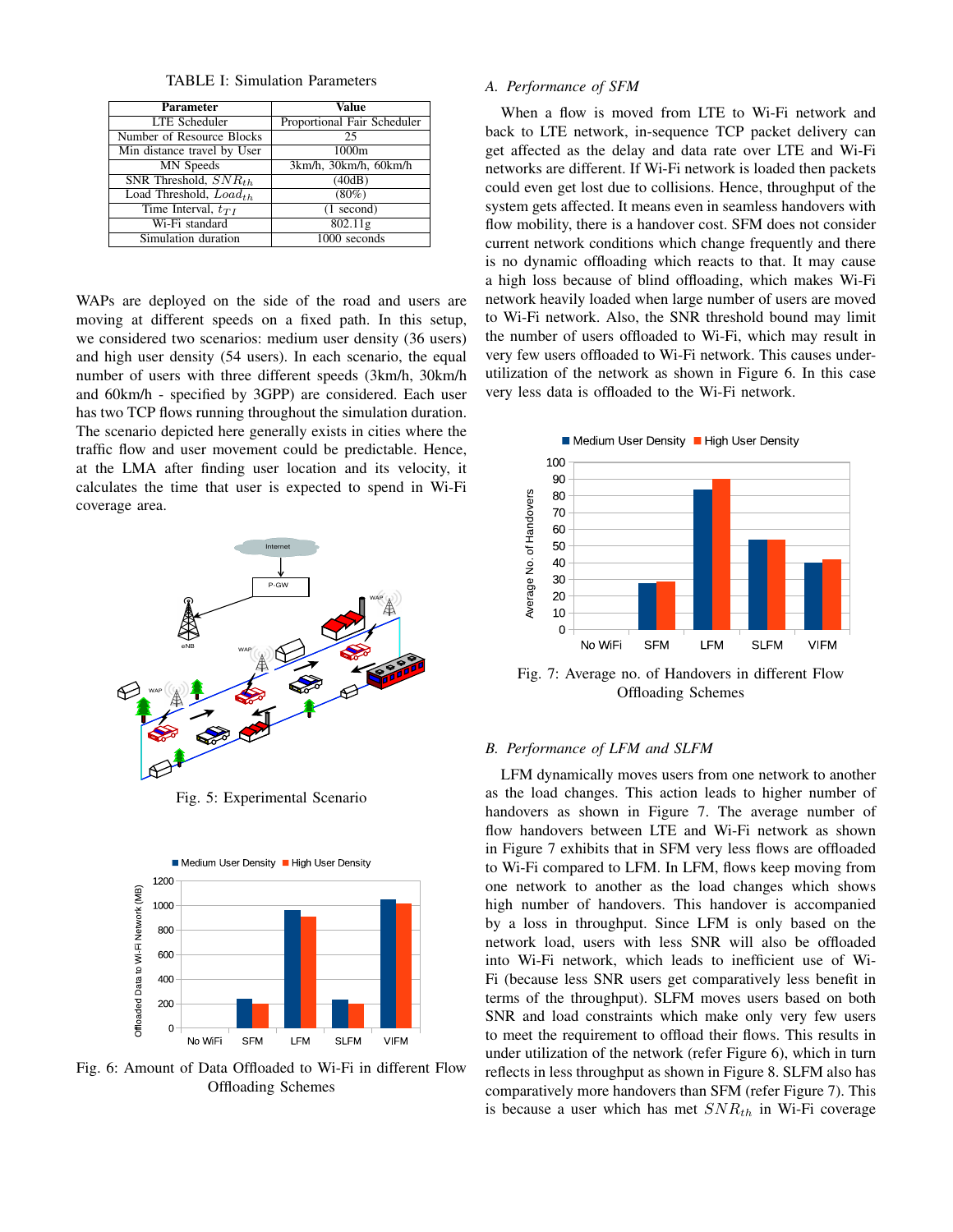TABLE I: Simulation Parameters

| <b>Parameter</b>            | Value                       |
|-----------------------------|-----------------------------|
| LTE Scheduler               | Proportional Fair Scheduler |
| Number of Resource Blocks   | 25                          |
| Min distance travel by User | 1000m                       |
| MN Speeds                   | 3km/h, 30km/h, 60km/h       |
| SNR Threshold, $SNR_{th}$   | (40dB)                      |
| Load Threshold, $Load_{th}$ | $(80\%)$                    |
| Time Interval, $t_{TI}$     | $(1$ second)                |
| Wi-Fi standard              | 802.11g                     |
| Simulation duration         | 1000 seconds                |

WAPs are deployed on the side of the road and users are moving at different speeds on a fixed path. In this setup, we considered two scenarios: medium user density (36 users) and high user density (54 users). In each scenario, the equal number of users with three different speeds (3km/h, 30km/h and 60km/h - specified by 3GPP) are considered. Each user has two TCP flows running throughout the simulation duration. The scenario depicted here generally exists in cities where the traffic flow and user movement could be predictable. Hence, at the LMA after finding user location and its velocity, it calculates the time that user is expected to spend in Wi-Fi coverage area.



Fig. 5: Experimental Scenario



Fig. 6: Amount of Data Offloaded to Wi-Fi in different Flow Offloading Schemes

### *A. Performance of SFM*

When a flow is moved from LTE to Wi-Fi network and back to LTE network, in-sequence TCP packet delivery can get affected as the delay and data rate over LTE and Wi-Fi networks are different. If Wi-Fi network is loaded then packets could even get lost due to collisions. Hence, throughput of the system gets affected. It means even in seamless handovers with flow mobility, there is a handover cost. SFM does not consider current network conditions which change frequently and there is no dynamic offloading which reacts to that. It may cause a high loss because of blind offloading, which makes Wi-Fi network heavily loaded when large number of users are moved to Wi-Fi network. Also, the SNR threshold bound may limit the number of users offloaded to Wi-Fi, which may result in very few users offloaded to Wi-Fi network. This causes underutilization of the network as shown in Figure 6. In this case very less data is offloaded to the Wi-Fi network.





Fig. 7: Average no. of Handovers in different Flow Offloading Schemes

#### *B. Performance of LFM and SLFM*

LFM dynamically moves users from one network to another as the load changes. This action leads to higher number of handovers as shown in Figure 7. The average number of flow handovers between LTE and Wi-Fi network as shown in Figure 7 exhibits that in SFM very less flows are offloaded to Wi-Fi compared to LFM. In LFM, flows keep moving from one network to another as the load changes which shows high number of handovers. This handover is accompanied by a loss in throughput. Since LFM is only based on the network load, users with less SNR will also be offloaded into Wi-Fi network, which leads to inefficient use of Wi-Fi (because less SNR users get comparatively less benefit in terms of the throughput). SLFM moves users based on both SNR and load constraints which make only very few users to meet the requirement to offload their flows. This results in under utilization of the network (refer Figure 6), which in turn reflects in less throughput as shown in Figure 8. SLFM also has comparatively more handovers than SFM (refer Figure 7). This is because a user which has met  $SNR_{th}$  in Wi-Fi coverage